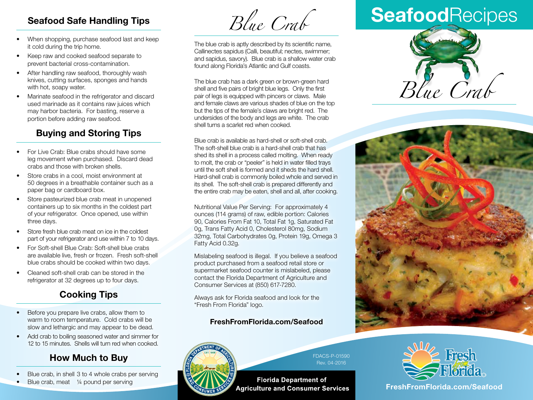### **Seafood Safe Handling Tips**

- When shopping, purchase seafood last and keep it cold during the trip home.
- Keep raw and cooked seafood separate to prevent bacterial cross-contamination.
- After handling raw seafood, thoroughly wash knives, cutting surfaces, sponges and hands with hot, soapy water.
- Marinate seafood in the refrigerator and discard used marinade as it contains raw juices which may harbor bacteria. For basting, reserve a portion before adding raw seafood.

### **Buying and Storing Tips**

- For Live Crab: Blue crabs should have some leg movement when purchased. Discard dead crabs and those with broken shells.
- Store crabs in a cool, moist environment at 50 degrees in a breathable container such as a paper bag or cardboard box.
- Store pasteurized blue crab meat in unopened containers up to six months in the coldest part of your refrigerator. Once opened, use within three days.
- Store fresh blue crab meat on ice in the coldest part of your refrigerator and use within 7 to 10 days.
- For Soft-shell Blue Crab: Soft-shell blue crabs are available live, fresh or frozen. Fresh soft-shell blue crabs should be cooked within two days.
- Cleaned soft-shell crab can be stored in the refrigerator at 32 degrees up to four days.

## **Cooking Tips**

- Before you prepare live crabs, allow them to warm to room temperature. Cold crabs will be slow and lethargic and may appear to be dead.
- Add crab to boiling seasoned water and simmer for 12 to 15 minutes. Shells will turn red when cooked.

### **How Much to Buy**

- Blue crab, in shell 3 to 4 whole crabs per serving
- Blue crab, meat 1/4 pound per serving

*Blue Crab*

The blue crab is aptly described by its scientific name, Callinectes sapidus (Calli, beautiful; nectes, swimmer; and sapidus, savory). Blue crab is a shallow water crab found along Florida's Atlantic and Gulf coasts.

The blue crab has a dark green or brown-green hard shell and five pairs of bright blue legs. Only the first pair of legs is equipped with pincers or claws. Male and female claws are various shades of blue on the top but the tips of the female's claws are bright red. The undersides of the body and legs are white. The crab shell turns a scarlet red when cooked.

Blue crab is available as hard-shell or soft-shell crab. The soft-shell blue crab is a hard-shell crab that has shed its shell in a process called molting. When ready to molt, the crab or "peeler" is held in water filled trays until the soft shell is formed and it sheds the hard shell. Hard-shell crab is commonly boiled whole and served in its shell. The soft-shell crab is prepared differently and the entire crab may be eaten, shell and all, after cooking.

Nutritional Value Per Serving: For approximately 4 ounces (114 grams) of raw, edible portion: Calories 90, Calories From Fat 10, Total Fat 1g, Saturated Fat 0g, Trans Fatty Acid 0, Cholesterol 80mg, Sodium 32mg, Total Carbohydrates 0g, Protein 19g, Omega 3 Fatty Acid 0.32g.

Mislabeling seafood is illegal. If you believe a seafood product purchased from a seafood retail store or supermarket seafood counter is mislabeled, please contact the Florida Department of Agriculture and Consumer Services at (850) 617-7280.

Always ask for Florida seafood and look for the "Fresh From Florida" logo.

#### **FreshFromFlorida.com/Seafood** 2051 East Dirac Drive, Tallahassee, Florida 32310-3760



FDACS-P-01590 Rev. 04-2016

**Florida Department of Agriculture and Consumer Services** 

# **Seafood**Recipes







**FreshFromFlorida.com FreshFromFlorida.com/Seafood**